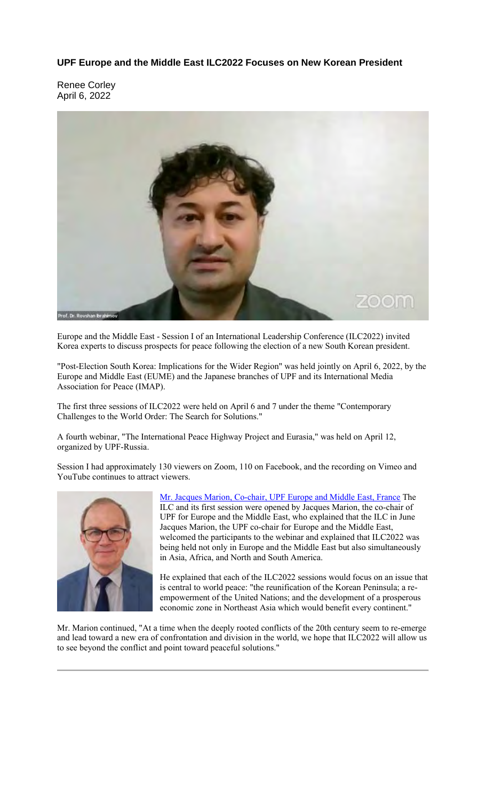**UPF Europe and the Middle East ILC2022 Focuses on New Korean President**

Renee Corley April 6, 2022



Europe and the Middle East - Session I of an International Leadership Conference (ILC2022) invited Korea experts to discuss prospects for peace following the election of a new South Korean president.

"Post-Election South Korea: Implications for the Wider Region" was held jointly on April 6, 2022, by the Europe and Middle East (EUME) and the Japanese branches of UPF and its International Media Association for Peace (IMAP).

The first three sessions of ILC2022 were held on April 6 and 7 under the theme "Contemporary Challenges to the World Order: The Search for Solutions."

A fourth webinar, "The International Peace Highway Project and Eurasia," was held on April 12, organized by UPF-Russia.

Session I had approximately 130 viewers on Zoom, 110 on Facebook, and the recording on Vimeo and YouTube continues to attract viewers.



Mr. Jacques Marion, Co-chair, UPF Europe and Middle East, France The ILC and its first session were opened by Jacques Marion, the co-chair of UPF for Europe and the Middle East, who explained that the ILC in June Jacques Marion, the UPF co-chair for Europe and the Middle East, welcomed the participants to the webinar and explained that ILC2022 was being held not only in Europe and the Middle East but also simultaneously in Asia, Africa, and North and South America.

He explained that each of the ILC2022 sessions would focus on an issue that is central to world peace: "the reunification of the Korean Peninsula; a reempowerment of the United Nations; and the development of a prosperous economic zone in Northeast Asia which would benefit every continent."

Mr. Marion continued, "At a time when the deeply rooted conflicts of the 20th century seem to re-emerge and lead toward a new era of confrontation and division in the world, we hope that ILC2022 will allow us to see beyond the conflict and point toward peaceful solutions."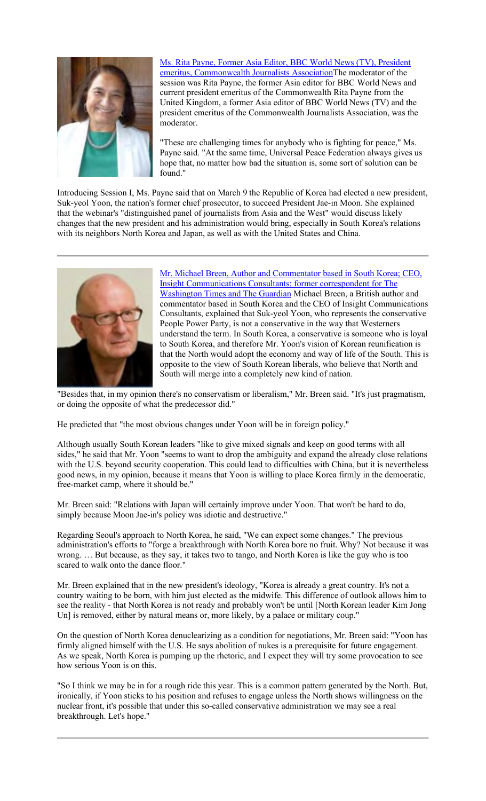

Ms. Rita Payne, Former Asia Editor, BBC World News (TV), President emeritus, Commonwealth Journalists AssociationThe moderator of the session was Rita Payne, the former Asia editor for BBC World News and current president emeritus of the Commonwealth Rita Payne from the United Kingdom, a former Asia editor of BBC World News (TV) and the president emeritus of the Commonwealth Journalists Association, was the moderator.

"These are challenging times for anybody who is fighting for peace," Ms. Payne said. "At the same time, Universal Peace Federation always gives us hope that, no matter how bad the situation is, some sort of solution can be found."

Introducing Session I, Ms. Payne said that on March 9 the Republic of Korea had elected a new president, Suk-yeol Yoon, the nation's former chief prosecutor, to succeed President Jae-in Moon. She explained that the webinar's "distinguished panel of journalists from Asia and the West" would discuss likely changes that the new president and his administration would bring, especially in South Korea's relations with its neighbors North Korea and Japan, as well as with the United States and China.



Mr. Michael Breen, Author and Commentator based in South Korea; CEO, Insight Communications Consultants; former correspondent for The Washington Times and The Guardian Michael Breen, a British author and commentator based in South Korea and the CEO of Insight Communications Consultants, explained that Suk-yeol Yoon, who represents the conservative People Power Party, is not a conservative in the way that Westerners understand the term. In South Korea, a conservative is someone who is loyal to South Korea, and therefore Mr. Yoon's vision of Korean reunification is that the North would adopt the economy and way of life of the South. This is opposite to the view of South Korean liberals, who believe that North and South will merge into a completely new kind of nation.

"Besides that, in my opinion there's no conservatism or liberalism," Mr. Breen said. "It's just pragmatism, or doing the opposite of what the predecessor did."

He predicted that "the most obvious changes under Yoon will be in foreign policy."

Although usually South Korean leaders "like to give mixed signals and keep on good terms with all sides," he said that Mr. Yoon "seems to want to drop the ambiguity and expand the already close relations with the U.S. beyond security cooperation. This could lead to difficulties with China, but it is nevertheless good news, in my opinion, because it means that Yoon is willing to place Korea firmly in the democratic, free-market camp, where it should be."

Mr. Breen said: "Relations with Japan will certainly improve under Yoon. That won't be hard to do, simply because Moon Jae-in's policy was idiotic and destructive."

Regarding Seoul's approach to North Korea, he said, "We can expect some changes." The previous administration's efforts to "forge a breakthrough with North Korea bore no fruit. Why? Not because it was wrong. … But because, as they say, it takes two to tango, and North Korea is like the guy who is too scared to walk onto the dance floor."

Mr. Breen explained that in the new president's ideology, "Korea is already a great country. It's not a country waiting to be born, with him just elected as the midwife. This difference of outlook allows him to see the reality - that North Korea is not ready and probably won't be until [North Korean leader Kim Jong Un] is removed, either by natural means or, more likely, by a palace or military coup."

On the question of North Korea denuclearizing as a condition for negotiations, Mr. Breen said: "Yoon has firmly aligned himself with the U.S. He says abolition of nukes is a prerequisite for future engagement. As we speak, North Korea is pumping up the rhetoric, and I expect they will try some provocation to see how serious Yoon is on this.

"So I think we may be in for a rough ride this year. This is a common pattern generated by the North. But, ironically, if Yoon sticks to his position and refuses to engage unless the North shows willingness on the nuclear front, it's possible that under this so-called conservative administration we may see a real breakthrough. Let's hope."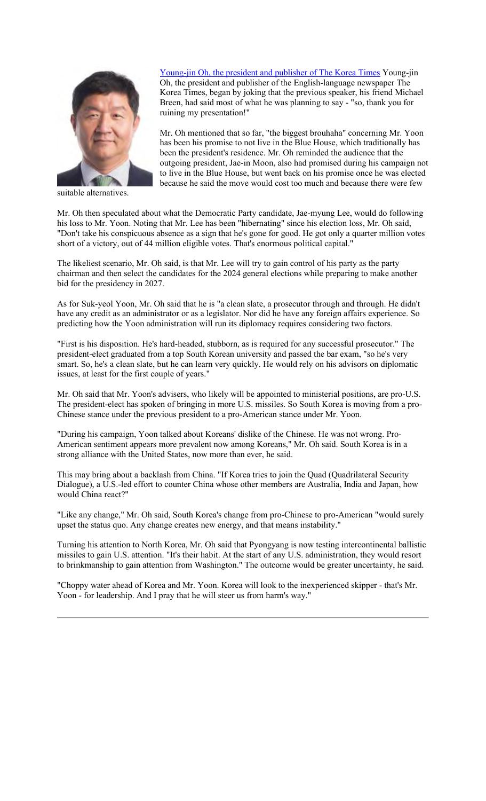## Young-jin Oh, the president and publisher of The Korea Times Young-jin



suitable alternatives.

Oh, the president and publisher of the English-language newspaper The Korea Times, began by joking that the previous speaker, his friend Michael Breen, had said most of what he was planning to say - "so, thank you for ruining my presentation!"

Mr. Oh mentioned that so far, "the biggest brouhaha" concerning Mr. Yoon has been his promise to not live in the Blue House, which traditionally has been the president's residence. Mr. Oh reminded the audience that the outgoing president, Jae-in Moon, also had promised during his campaign not to live in the Blue House, but went back on his promise once he was elected because he said the move would cost too much and because there were few

Mr. Oh then speculated about what the Democratic Party candidate, Jae-myung Lee, would do following his loss to Mr. Yoon. Noting that Mr. Lee has been "hibernating" since his election loss, Mr. Oh said, "Don't take his conspicuous absence as a sign that he's gone for good. He got only a quarter million votes short of a victory, out of 44 million eligible votes. That's enormous political capital."

The likeliest scenario, Mr. Oh said, is that Mr. Lee will try to gain control of his party as the party chairman and then select the candidates for the 2024 general elections while preparing to make another bid for the presidency in 2027.

As for Suk-yeol Yoon, Mr. Oh said that he is "a clean slate, a prosecutor through and through. He didn't have any credit as an administrator or as a legislator. Nor did he have any foreign affairs experience. So predicting how the Yoon administration will run its diplomacy requires considering two factors.

"First is his disposition. He's hard-headed, stubborn, as is required for any successful prosecutor." The president-elect graduated from a top South Korean university and passed the bar exam, "so he's very smart. So, he's a clean slate, but he can learn very quickly. He would rely on his advisors on diplomatic issues, at least for the first couple of years."

Mr. Oh said that Mr. Yoon's advisers, who likely will be appointed to ministerial positions, are pro-U.S. The president-elect has spoken of bringing in more U.S. missiles. So South Korea is moving from a pro-Chinese stance under the previous president to a pro-American stance under Mr. Yoon.

"During his campaign, Yoon talked about Koreans' dislike of the Chinese. He was not wrong. Pro-American sentiment appears more prevalent now among Koreans," Mr. Oh said. South Korea is in a strong alliance with the United States, now more than ever, he said.

This may bring about a backlash from China. "If Korea tries to join the Quad (Quadrilateral Security Dialogue), a U.S.-led effort to counter China whose other members are Australia, India and Japan, how would China react?"

"Like any change," Mr. Oh said, South Korea's change from pro-Chinese to pro-American "would surely upset the status quo. Any change creates new energy, and that means instability."

Turning his attention to North Korea, Mr. Oh said that Pyongyang is now testing intercontinental ballistic missiles to gain U.S. attention. "It's their habit. At the start of any U.S. administration, they would resort to brinkmanship to gain attention from Washington." The outcome would be greater uncertainty, he said.

"Choppy water ahead of Korea and Mr. Yoon. Korea will look to the inexperienced skipper - that's Mr. Yoon - for leadership. And I pray that he will steer us from harm's way."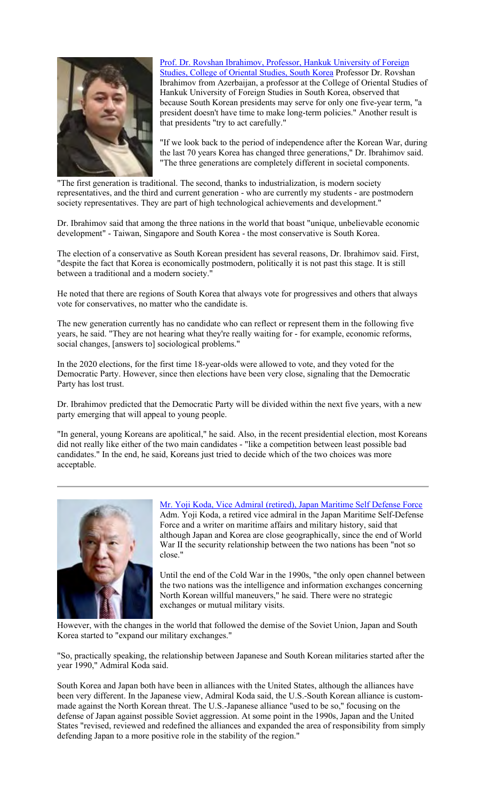

Prof. Dr. Rovshan Ibrahimov, Professor, Hankuk University of Foreign Studies, College of Oriental Studies, South Korea Professor Dr. Rovshan Ibrahimov from Azerbaijan, a professor at the College of Oriental Studies of Hankuk University of Foreign Studies in South Korea, observed that because South Korean presidents may serve for only one five-year term, "a president doesn't have time to make long-term policies." Another result is that presidents "try to act carefully."

"If we look back to the period of independence after the Korean War, during the last 70 years Korea has changed three generations," Dr. Ibrahimov said. "The three generations are completely different in societal components.

"The first generation is traditional. The second, thanks to industrialization, is modern society representatives, and the third and current generation - who are currently my students - are postmodern society representatives. They are part of high technological achievements and development."

Dr. Ibrahimov said that among the three nations in the world that boast "unique, unbelievable economic development" - Taiwan, Singapore and South Korea - the most conservative is South Korea.

The election of a conservative as South Korean president has several reasons, Dr. Ibrahimov said. First, "despite the fact that Korea is economically postmodern, politically it is not past this stage. It is still between a traditional and a modern society."

He noted that there are regions of South Korea that always vote for progressives and others that always vote for conservatives, no matter who the candidate is.

The new generation currently has no candidate who can reflect or represent them in the following five years, he said. "They are not hearing what they're really waiting for - for example, economic reforms, social changes, [answers to] sociological problems."

In the 2020 elections, for the first time 18-year-olds were allowed to vote, and they voted for the Democratic Party. However, since then elections have been very close, signaling that the Democratic Party has lost trust.

Dr. Ibrahimov predicted that the Democratic Party will be divided within the next five years, with a new party emerging that will appeal to young people.

"In general, young Koreans are apolitical," he said. Also, in the recent presidential election, most Koreans did not really like either of the two main candidates - "like a competition between least possible bad candidates." In the end, he said, Koreans just tried to decide which of the two choices was more acceptable.



Mr. Yoji Koda, Vice Admiral (retired), Japan Maritime Self Defense Force Adm. Yoji Koda, a retired vice admiral in the Japan Maritime Self-Defense Force and a writer on maritime affairs and military history, said that although Japan and Korea are close geographically, since the end of World War II the security relationship between the two nations has been "not so close."

Until the end of the Cold War in the 1990s, "the only open channel between the two nations was the intelligence and information exchanges concerning North Korean willful maneuvers," he said. There were no strategic exchanges or mutual military visits.

However, with the changes in the world that followed the demise of the Soviet Union, Japan and South Korea started to "expand our military exchanges."

"So, practically speaking, the relationship between Japanese and South Korean militaries started after the year 1990," Admiral Koda said.

South Korea and Japan both have been in alliances with the United States, although the alliances have been very different. In the Japanese view, Admiral Koda said, the U.S.-South Korean alliance is custommade against the North Korean threat. The U.S.-Japanese alliance "used to be so," focusing on the defense of Japan against possible Soviet aggression. At some point in the 1990s, Japan and the United States "revised, reviewed and redefined the alliances and expanded the area of responsibility from simply defending Japan to a more positive role in the stability of the region."